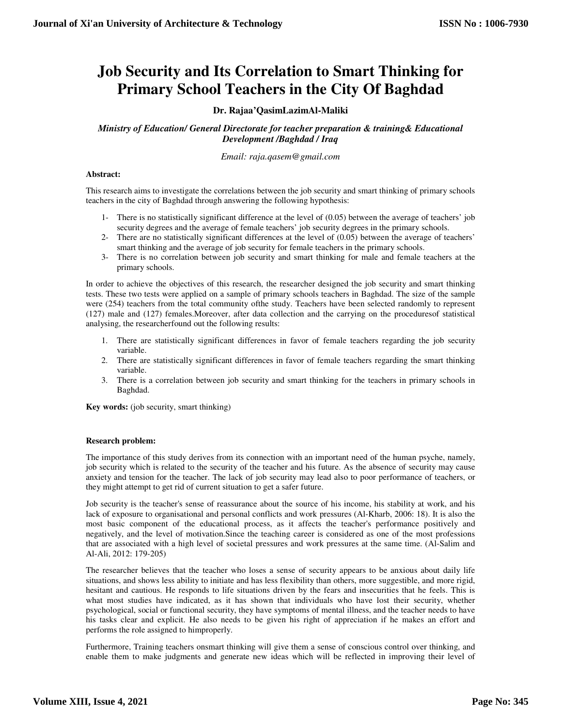# **Job Security and Its Correlation to Smart Thinking for Primary School Teachers in the City Of Baghdad**

# **Dr. Rajaa'QasimLazimAl-Maliki**

*Ministry of Education/ General Directorate for teacher preparation & training& Educational Development /Baghdad / Iraq* 

*Email: raja.qasem@gmail.com*

## **Abstract:**

This research aims to investigate the correlations between the job security and smart thinking of primary schools teachers in the city of Baghdad through answering the following hypothesis:

- 1- There is no statistically significant difference at the level of (0.05) between the average of teachers' job security degrees and the average of female teachers' job security degrees in the primary schools.
- 2- There are no statistically significant differences at the level of (0.05) between the average of teachers' smart thinking and the average of job security for female teachers in the primary schools.
- 3- There is no correlation between job security and smart thinking for male and female teachers at the primary schools.

In order to achieve the objectives of this research, the researcher designed the job security and smart thinking tests. These two tests were applied on a sample of primary schools teachers in Baghdad. The size of the sample were (254) teachers from the total community ofthe study. Teachers have been selected randomly to represent (127) male and (127) females.Moreover, after data collection and the carrying on the proceduresof statistical analysing, the researcherfound out the following results:

- 1. There are statistically significant differences in favor of female teachers regarding the job security variable.
- 2. There are statistically significant differences in favor of female teachers regarding the smart thinking variable.
- 3. There is a correlation between job security and smart thinking for the teachers in primary schools in Baghdad.

**Key words:** (job security, smart thinking)

# **Research problem:**

The importance of this study derives from its connection with an important need of the human psyche, namely, job security which is related to the security of the teacher and his future. As the absence of security may cause anxiety and tension for the teacher. The lack of job security may lead also to poor performance of teachers, or they might attempt to get rid of current situation to get a safer future.

Job security is the teacher's sense of reassurance about the source of his income, his stability at work, and his lack of exposure to organisational and personal conflicts and work pressures (Al-Kharb, 2006: 18). It is also the most basic component of the educational process, as it affects the teacher's performance positively and negatively, and the level of motivation.Since the teaching career is considered as one of the most professions that are associated with a high level of societal pressures and work pressures at the same time. (Al-Salim and Al-Ali, 2012: 179-205)

The researcher believes that the teacher who loses a sense of security appears to be anxious about daily life situations, and shows less ability to initiate and has less flexibility than others, more suggestible, and more rigid, hesitant and cautious. He responds to life situations driven by the fears and insecurities that he feels. This is what most studies have indicated, as it has shown that individuals who have lost their security, whether psychological, social or functional security, they have symptoms of mental illness, and the teacher needs to have his tasks clear and explicit. He also needs to be given his right of appreciation if he makes an effort and performs the role assigned to himproperly.

Furthermore, Training teachers onsmart thinking will give them a sense of conscious control over thinking, and enable them to make judgments and generate new ideas which will be reflected in improving their level of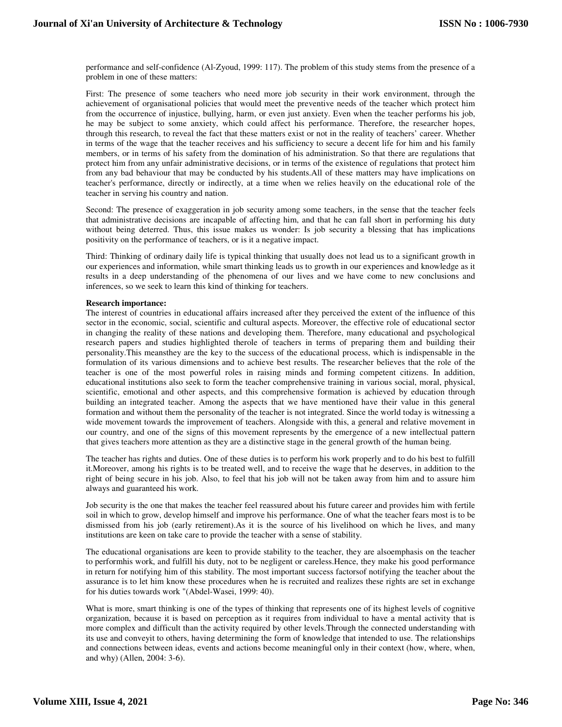performance and self-confidence (Al-Zyoud, 1999: 117). The problem of this study stems from the presence of a problem in one of these matters:

First: The presence of some teachers who need more job security in their work environment, through the achievement of organisational policies that would meet the preventive needs of the teacher which protect him from the occurrence of injustice, bullying, harm, or even just anxiety. Even when the teacher performs his job, he may be subject to some anxiety, which could affect his performance. Therefore, the researcher hopes, through this research, to reveal the fact that these matters exist or not in the reality of teachers' career. Whether in terms of the wage that the teacher receives and his sufficiency to secure a decent life for him and his family members, or in terms of his safety from the domination of his administration. So that there are regulations that protect him from any unfair administrative decisions, or in terms of the existence of regulations that protect him from any bad behaviour that may be conducted by his students.All of these matters may have implications on teacher's performance, directly or indirectly, at a time when we relies heavily on the educational role of the teacher in serving his country and nation.

Second: The presence of exaggeration in job security among some teachers, in the sense that the teacher feels that administrative decisions are incapable of affecting him, and that he can fall short in performing his duty without being deterred. Thus, this issue makes us wonder: Is job security a blessing that has implications positivity on the performance of teachers, or is it a negative impact.

Third: Thinking of ordinary daily life is typical thinking that usually does not lead us to a significant growth in our experiences and information, while smart thinking leads us to growth in our experiences and knowledge as it results in a deep understanding of the phenomena of our lives and we have come to new conclusions and inferences, so we seek to learn this kind of thinking for teachers.

## **Research importance:**

The interest of countries in educational affairs increased after they perceived the extent of the influence of this sector in the economic, social, scientific and cultural aspects. Moreover, the effective role of educational sector in changing the reality of these nations and developing them. Therefore, many educational and psychological research papers and studies highlighted therole of teachers in terms of preparing them and building their personality.This meansthey are the key to the success of the educational process, which is indispensable in the formulation of its various dimensions and to achieve best results. The researcher believes that the role of the teacher is one of the most powerful roles in raising minds and forming competent citizens. In addition, educational institutions also seek to form the teacher comprehensive training in various social, moral, physical, scientific, emotional and other aspects, and this comprehensive formation is achieved by education through building an integrated teacher. Among the aspects that we have mentioned have their value in this general formation and without them the personality of the teacher is not integrated. Since the world today is witnessing a wide movement towards the improvement of teachers. Alongside with this, a general and relative movement in our country, and one of the signs of this movement represents by the emergence of a new intellectual pattern that gives teachers more attention as they are a distinctive stage in the general growth of the human being.

The teacher has rights and duties. One of these duties is to perform his work properly and to do his best to fulfill it.Moreover, among his rights is to be treated well, and to receive the wage that he deserves, in addition to the right of being secure in his job. Also, to feel that his job will not be taken away from him and to assure him always and guaranteed his work.

Job security is the one that makes the teacher feel reassured about his future career and provides him with fertile soil in which to grow, develop himself and improve his performance. One of what the teacher fears most is to be dismissed from his job (early retirement).As it is the source of his livelihood on which he lives, and many institutions are keen on take care to provide the teacher with a sense of stability.

The educational organisations are keen to provide stability to the teacher, they are alsoemphasis on the teacher to performhis work, and fulfill his duty, not to be negligent or careless.Hence, they make his good performance in return for notifying him of this stability. The most important success factorsof notifying the teacher about the assurance is to let him know these procedures when he is recruited and realizes these rights are set in exchange for his duties towards work "(Abdel-Wasei, 1999: 40).

What is more, smart thinking is one of the types of thinking that represents one of its highest levels of cognitive organization, because it is based on perception as it requires from individual to have a mental activity that is more complex and difficult than the activity required by other levels.Through the connected understanding with its use and conveyit to others, having determining the form of knowledge that intended to use. The relationships and connections between ideas, events and actions become meaningful only in their context (how, where, when, and why) (Allen, 2004: 3-6).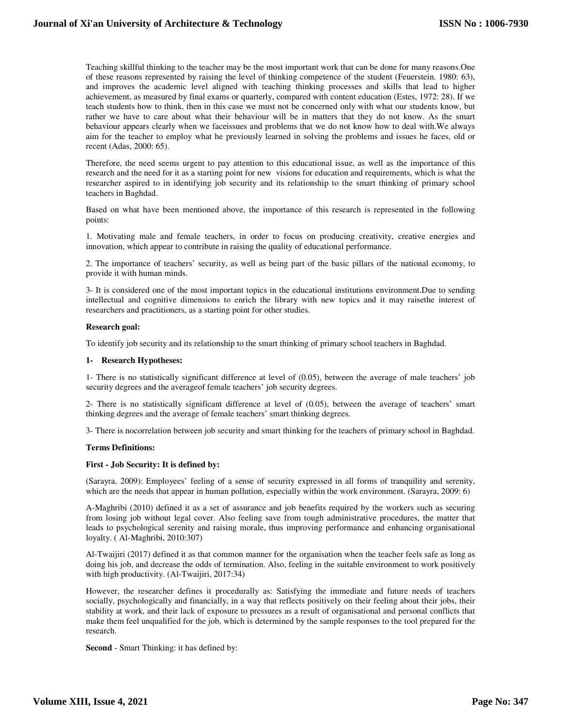Teaching skillful thinking to the teacher may be the most important work that can be done for many reasons.One of these reasons represented by raising the level of thinking competence of the student (Feuerstein. 1980: 63), and improves the academic level aligned with teaching thinking processes and skills that lead to higher achievement, as measured by final exams or quarterly, compared with content education (Estes, 1972: 28). If we teach students how to think, then in this case we must not be concerned only with what our students know, but rather we have to care about what their behaviour will be in matters that they do not know. As the smart behaviour appears clearly when we faceissues and problems that we do not know how to deal with.We always aim for the teacher to employ what he previously learned in solving the problems and issues he faces, old or recent (Adas, 2000: 65).

Therefore, the need seems urgent to pay attention to this educational issue, as well as the importance of this research and the need for it as a starting point for new visions for education and requirements, which is what the researcher aspired to in identifying job security and its relationship to the smart thinking of primary school teachers in Baghdad.

Based on what have been mentioned above, the importance of this research is represented in the following points:

1. Motivating male and female teachers, in order to focus on producing creativity, creative energies and innovation, which appear to contribute in raising the quality of educational performance.

2. The importance of teachers' security, as well as being part of the basic pillars of the national economy, to provide it with human minds.

3- It is considered one of the most important topics in the educational institutions environment.Due to sending intellectual and cognitive dimensions to enrich the library with new topics and it may raisethe interest of researchers and practitioners, as a starting point for other studies.

## **Research goal:**

To identify job security and its relationship to the smart thinking of primary school teachers in Baghdad.

## **1- Research Hypotheses:**

1- There is no statistically significant difference at level of (0.05), between the average of male teachers' job security degrees and the averageof female teachers' job security degrees.

2- There is no statistically significant difference at level of (0.05), between the average of teachers' smart thinking degrees and the average of female teachers' smart thinking degrees.

3- There is nocorrelation between job security and smart thinking for the teachers of primary school in Baghdad.

## **Terms Definitions:**

## **First - Job Security: It is defined by:**

(Sarayra, 2009): Employees' feeling of a sense of security expressed in all forms of tranquility and serenity, which are the needs that appear in human pollution, especially within the work environment. (Sarayra, 2009: 6)

A-Maghribi (2010) defined it as a set of assurance and job benefits required by the workers such as securing from losing job without legal cover. Also feeling save from tough administrative procedures, the matter that leads to psychological serenity and raising morale, thus improving performance and enhancing organisational loyalty. ( Al-Maghribi, 2010:307)

Al-Twaijiri (2017) defined it as that common manner for the organisation when the teacher feels safe as long as doing his job, and decrease the odds of termination. Also, feeling in the suitable environment to work positively with high productivity. (Al-Twaijiri, 2017:34)

However, the researcher defines it procedurally as: Satisfying the immediate and future needs of teachers socially, psychologically and financially, in a way that reflects positively on their feeling about their jobs, their stability at work, and their lack of exposure to pressures as a result of organisational and personal conflicts that make them feel unqualified for the job, which is determined by the sample responses to the tool prepared for the research.

**Second** - Smart Thinking: it has defined by: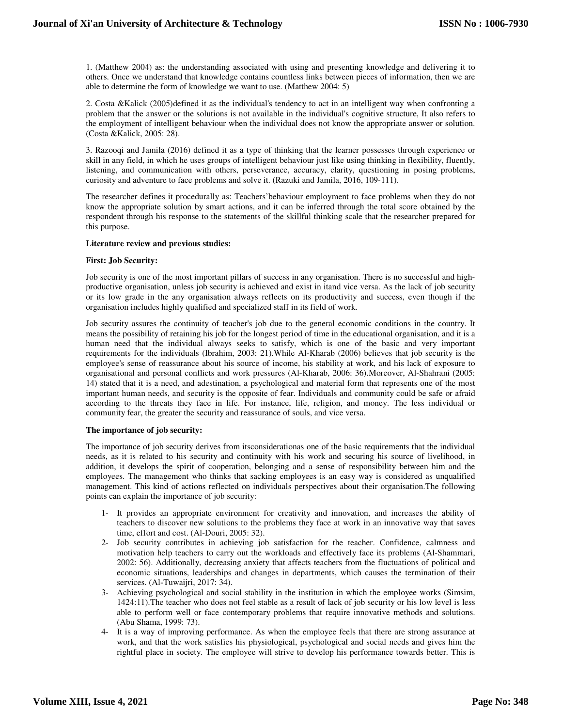1. (Matthew 2004) as: the understanding associated with using and presenting knowledge and delivering it to others. Once we understand that knowledge contains countless links between pieces of information, then we are able to determine the form of knowledge we want to use. (Matthew 2004: 5)

2. Costa &Kalick (2005)defined it as the individual's tendency to act in an intelligent way when confronting a problem that the answer or the solutions is not available in the individual's cognitive structure, It also refers to the employment of intelligent behaviour when the individual does not know the appropriate answer or solution. (Costa &Kalick, 2005: 28).

3. Razooqi and Jamila (2016) defined it as a type of thinking that the learner possesses through experience or skill in any field, in which he uses groups of intelligent behaviour just like using thinking in flexibility, fluently, listening, and communication with others, perseverance, accuracy, clarity, questioning in posing problems, curiosity and adventure to face problems and solve it. (Razuki and Jamila, 2016, 109-111).

The researcher defines it procedurally as: Teachers'behaviour employment to face problems when they do not know the appropriate solution by smart actions, and it can be inferred through the total score obtained by the respondent through his response to the statements of the skillful thinking scale that the researcher prepared for this purpose.

## **Literature review and previous studies:**

## **First: Job Security:**

Job security is one of the most important pillars of success in any organisation. There is no successful and highproductive organisation, unless job security is achieved and exist in itand vice versa. As the lack of job security or its low grade in the any organisation always reflects on its productivity and success, even though if the organisation includes highly qualified and specialized staff in its field of work.

Job security assures the continuity of teacher's job due to the general economic conditions in the country. It means the possibility of retaining his job for the longest period of time in the educational organisation, and it is a human need that the individual always seeks to satisfy, which is one of the basic and very important requirements for the individuals (Ibrahim, 2003: 21).While Al-Kharab (2006) believes that job security is the employee's sense of reassurance about his source of income, his stability at work, and his lack of exposure to organisational and personal conflicts and work pressures (Al-Kharab, 2006: 36).Moreover, Al-Shahrani (2005: 14) stated that it is a need, and adestination, a psychological and material form that represents one of the most important human needs, and security is the opposite of fear. Individuals and community could be safe or afraid according to the threats they face in life. For instance, life, religion, and money. The less individual or community fear, the greater the security and reassurance of souls, and vice versa.

## **The importance of job security:**

The importance of job security derives from itsconsiderationas one of the basic requirements that the individual needs, as it is related to his security and continuity with his work and securing his source of livelihood, in addition, it develops the spirit of cooperation, belonging and a sense of responsibility between him and the employees. The management who thinks that sacking employees is an easy way is considered as unqualified management. This kind of actions reflected on individuals perspectives about their organisation.The following points can explain the importance of job security:

- 1- It provides an appropriate environment for creativity and innovation, and increases the ability of teachers to discover new solutions to the problems they face at work in an innovative way that saves time, effort and cost. (Al-Douri, 2005: 32).
- 2- Job security contributes in achieving job satisfaction for the teacher. Confidence, calmness and motivation help teachers to carry out the workloads and effectively face its problems (Al-Shammari, 2002: 56). Additionally, decreasing anxiety that affects teachers from the fluctuations of political and economic situations, leaderships and changes in departments, which causes the termination of their services. (Al-Tuwaijri, 2017: 34).
- 3- Achieving psychological and social stability in the institution in which the employee works (Simsim, 1424:11).The teacher who does not feel stable as a result of lack of job security or his low level is less able to perform well or face contemporary problems that require innovative methods and solutions. (Abu Shama, 1999: 73).
- 4- It is a way of improving performance. As when the employee feels that there are strong assurance at work, and that the work satisfies his physiological, psychological and social needs and gives him the rightful place in society. The employee will strive to develop his performance towards better. This is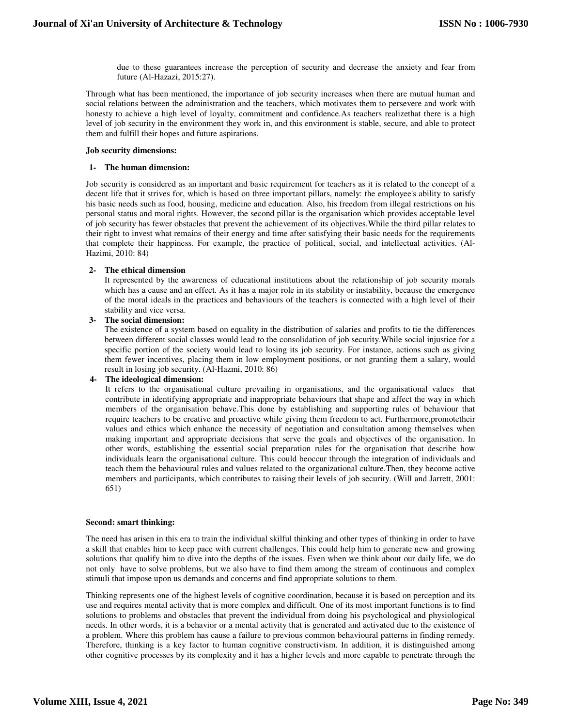due to these guarantees increase the perception of security and decrease the anxiety and fear from future (Al-Hazazi, 2015:27).

Through what has been mentioned, the importance of job security increases when there are mutual human and social relations between the administration and the teachers, which motivates them to persevere and work with honesty to achieve a high level of loyalty, commitment and confidence.As teachers realizethat there is a high level of job security in the environment they work in, and this environment is stable, secure, and able to protect them and fulfill their hopes and future aspirations.

## **Job security dimensions:**

## **1- The human dimension:**

Job security is considered as an important and basic requirement for teachers as it is related to the concept of a decent life that it strives for, which is based on three important pillars, namely: the employee's ability to satisfy his basic needs such as food, housing, medicine and education. Also, his freedom from illegal restrictions on his personal status and moral rights. However, the second pillar is the organisation which provides acceptable level of job security has fewer obstacles that prevent the achievement of its objectives.While the third pillar relates to their right to invest what remains of their energy and time after satisfying their basic needs for the requirements that complete their happiness. For example, the practice of political, social, and intellectual activities. (Al-Hazimi, 2010: 84)

## **2- The ethical dimension**

It represented by the awareness of educational institutions about the relationship of job security morals which has a cause and an effect. As it has a major role in its stability or instability, because the emergence of the moral ideals in the practices and behaviours of the teachers is connected with a high level of their stability and vice versa.

## **3- The social dimension:**

The existence of a system based on equality in the distribution of salaries and profits to tie the differences between different social classes would lead to the consolidation of job security.While social injustice for a specific portion of the society would lead to losing its job security. For instance, actions such as giving them fewer incentives, placing them in low employment positions, or not granting them a salary, would result in losing job security. (Al-Hazmi, 2010: 86)

## **4- The ideological dimension:**

It refers to the organisational culture prevailing in organisations, and the organisational values that contribute in identifying appropriate and inappropriate behaviours that shape and affect the way in which members of the organisation behave.This done by establishing and supporting rules of behaviour that require teachers to be creative and proactive while giving them freedom to act. Furthermore,promotetheir values and ethics which enhance the necessity of negotiation and consultation among themselves when making important and appropriate decisions that serve the goals and objectives of the organisation. In other words, establishing the essential social preparation rules for the organisation that describe how individuals learn the organisational culture. This could beoccur through the integration of individuals and teach them the behavioural rules and values related to the organizational culture.Then, they become active members and participants, which contributes to raising their levels of job security. (Will and Jarrett, 2001: 651)

## **Second: smart thinking:**

The need has arisen in this era to train the individual skilful thinking and other types of thinking in order to have a skill that enables him to keep pace with current challenges. This could help him to generate new and growing solutions that qualify him to dive into the depths of the issues. Even when we think about our daily life, we do not only have to solve problems, but we also have to find them among the stream of continuous and complex stimuli that impose upon us demands and concerns and find appropriate solutions to them.

Thinking represents one of the highest levels of cognitive coordination, because it is based on perception and its use and requires mental activity that is more complex and difficult. One of its most important functions is to find solutions to problems and obstacles that prevent the individual from doing his psychological and physiological needs. In other words, it is a behavior or a mental activity that is generated and activated due to the existence of a problem. Where this problem has cause a failure to previous common behavioural patterns in finding remedy. Therefore, thinking is a key factor to human cognitive constructivism. In addition, it is distinguished among other cognitive processes by its complexity and it has a higher levels and more capable to penetrate through the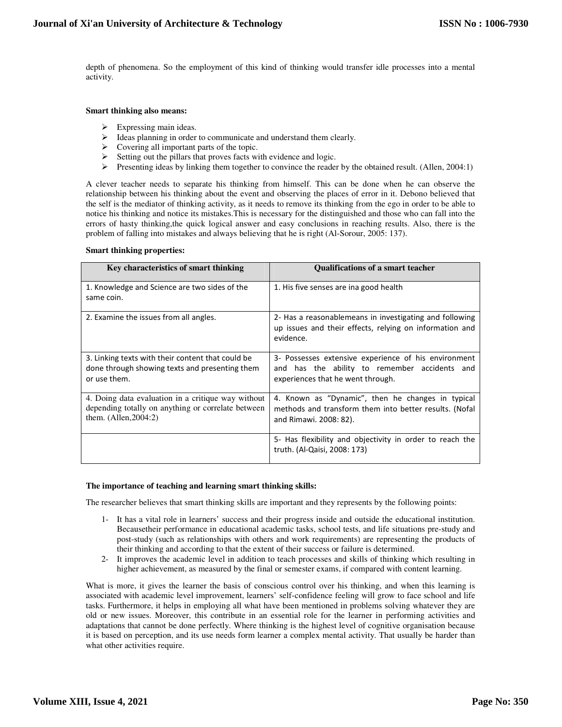depth of phenomena. So the employment of this kind of thinking would transfer idle processes into a mental activity.

## **Smart thinking also means:**

- $\triangleright$  Expressing main ideas.
- $\triangleright$  Ideas planning in order to communicate and understand them clearly.
- $\triangleright$  Covering all important parts of the topic.
- $\triangleright$  Setting out the pillars that proves facts with evidence and logic.
- $\triangleright$  Presenting ideas by linking them together to convince the reader by the obtained result. (Allen, 2004:1)

A clever teacher needs to separate his thinking from himself. This can be done when he can observe the relationship between his thinking about the event and observing the places of error in it. Debono believed that the self is the mediator of thinking activity, as it needs to remove its thinking from the ego in order to be able to notice his thinking and notice its mistakes.This is necessary for the distinguished and those who can fall into the errors of hasty thinking,the quick logical answer and easy conclusions in reaching results. Also, there is the problem of falling into mistakes and always believing that he is right (Al-Sorour, 2005: 137).

## **Smart thinking properties:**

| Key characteristics of smart thinking                                                                                               | <b>Oualifications of a smart teacher</b>                                                                                                   |
|-------------------------------------------------------------------------------------------------------------------------------------|--------------------------------------------------------------------------------------------------------------------------------------------|
| 1. Knowledge and Science are two sides of the<br>same coin.                                                                         | 1. His five senses are ina good health                                                                                                     |
| 2. Examine the issues from all angles.                                                                                              | 2- Has a reasonablemeans in investigating and following<br>up issues and their effects, relying on information and<br>evidence.            |
| 3. Linking texts with their content that could be<br>done through showing texts and presenting them<br>or use them.                 | 3- Possesses extensive experience of his environment<br>and has the ability to remember accidents and<br>experiences that he went through. |
| 4. Doing data evaluation in a critique way without<br>depending totally on anything or correlate between<br>them. $(Allen, 2004:2)$ | 4. Known as "Dynamic", then he changes in typical<br>methods and transform them into better results. (Nofal<br>and Rimawi. 2008: 82).      |
|                                                                                                                                     | 5- Has flexibility and objectivity in order to reach the<br>truth. (Al-Qaisi, 2008: 173)                                                   |

## **The importance of teaching and learning smart thinking skills:**

The researcher believes that smart thinking skills are important and they represents by the following points:

- 1- It has a vital role in learners' success and their progress inside and outside the educational institution. Becausetheir performance in educational academic tasks, school tests, and life situations pre-study and post-study (such as relationships with others and work requirements) are representing the products of their thinking and according to that the extent of their success or failure is determined.
- 2- It improves the academic level in addition to teach processes and skills of thinking which resulting in higher achievement, as measured by the final or semester exams, if compared with content learning.

What is more, it gives the learner the basis of conscious control over his thinking, and when this learning is associated with academic level improvement, learners' self-confidence feeling will grow to face school and life tasks. Furthermore, it helps in employing all what have been mentioned in problems solving whatever they are old or new issues. Moreover, this contribute in an essential role for the learner in performing activities and adaptations that cannot be done perfectly. Where thinking is the highest level of cognitive organisation because it is based on perception, and its use needs form learner a complex mental activity. That usually be harder than what other activities require.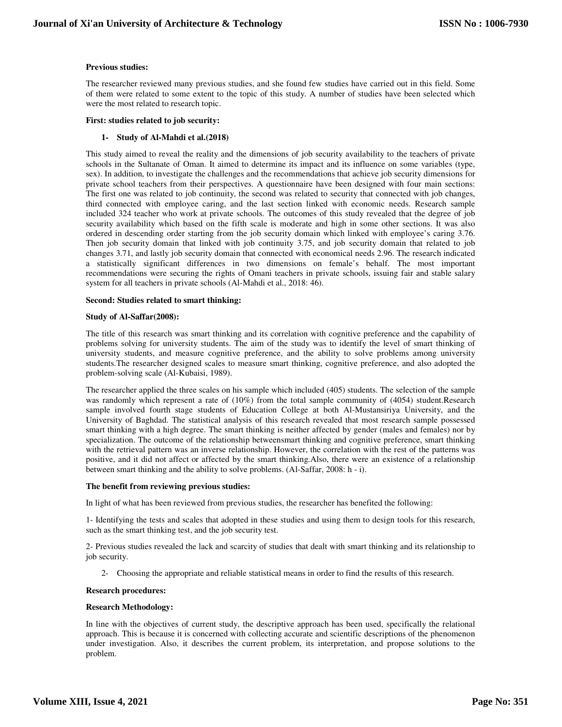## **Previous studies:**

The researcher reviewed many previous studies, and she found few studies have carried out in this field. Some of them were related to some extent to the topic of this study. A number of studies have been selected which were the most related to research topic.

## **First: studies related to job security:**

## **1- Study of Al-Mahdi et al.(2018)**

This study aimed to reveal the reality and the dimensions of job security availability to the teachers of private schools in the Sultanate of Oman. It aimed to determine its impact and its influence on some variables (type, sex). In addition, to investigate the challenges and the recommendations that achieve job security dimensions for private school teachers from their perspectives. A questionnaire have been designed with four main sections: The first one was related to job continuity, the second was related to security that connected with job changes, third connected with employee caring, and the last section linked with economic needs. Research sample included 324 teacher who work at private schools. The outcomes of this study revealed that the degree of job security availability which based on the fifth scale is moderate and high in some other sections. It was also ordered in descending order starting from the job security domain which linked with employee's caring 3.76. Then job security domain that linked with job continuity 3.75, and job security domain that related to job changes 3.71, and lastly job security domain that connected with economical needs 2.96. The research indicated a statistically significant differences in two dimensions on female's behalf. The most important recommendations were securing the rights of Omani teachers in private schools, issuing fair and stable salary system for all teachers in private schools (Al-Mahdi et al., 2018: 46).

## **Second: Studies related to smart thinking:**

## **Study of Al-Saffar(2008):**

The title of this research was smart thinking and its correlation with cognitive preference and the capability of problems solving for university students. The aim of the study was to identify the level of smart thinking of university students, and measure cognitive preference, and the ability to solve problems among university students.The researcher designed scales to measure smart thinking, cognitive preference, and also adopted the problem-solving scale (Al-Kubaisi, 1989).

The researcher applied the three scales on his sample which included (405) students. The selection of the sample was randomly which represent a rate of  $(10\%)$  from the total sample community of  $(4054)$  student.Research sample involved fourth stage students of Education College at both Al-Mustansiriya University, and the University of Baghdad. The statistical analysis of this research revealed that most research sample possessed smart thinking with a high degree. The smart thinking is neither affected by gender (males and females) nor by specialization. The outcome of the relationship betweensmart thinking and cognitive preference, smart thinking with the retrieval pattern was an inverse relationship. However, the correlation with the rest of the patterns was positive, and it did not affect or affected by the smart thinking.Also, there were an existence of a relationship between smart thinking and the ability to solve problems. (Al-Saffar, 2008: h - i).

## **The benefit from reviewing previous studies:**

In light of what has been reviewed from previous studies, the researcher has benefited the following:

1- Identifying the tests and scales that adopted in these studies and using them to design tools for this research, such as the smart thinking test, and the job security test.

2- Previous studies revealed the lack and scarcity of studies that dealt with smart thinking and its relationship to job security.

2- Choosing the appropriate and reliable statistical means in order to find the results of this research.

## **Research procedures:**

## **Research Methodology:**

In line with the objectives of current study, the descriptive approach has been used, specifically the relational approach. This is because it is concerned with collecting accurate and scientific descriptions of the phenomenon under investigation. Also, it describes the current problem, its interpretation, and propose solutions to the problem.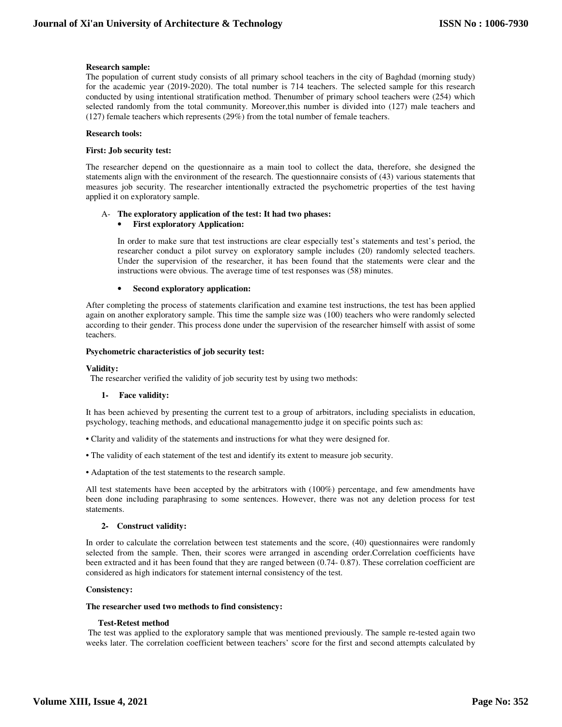## **Research sample:**

The population of current study consists of all primary school teachers in the city of Baghdad (morning study) for the academic year (2019-2020). The total number is 714 teachers. The selected sample for this research conducted by using intentional stratification method. Thenumber of primary school teachers were (254) which selected randomly from the total community. Moreover,this number is divided into (127) male teachers and (127) female teachers which represents (29%) from the total number of female teachers.

## **Research tools:**

## **First: Job security test:**

The researcher depend on the questionnaire as a main tool to collect the data, therefore, she designed the statements align with the environment of the research. The questionnaire consists of (43) various statements that measures job security. The researcher intentionally extracted the psychometric properties of the test having applied it on exploratory sample.

## A- **The exploratory application of the test: It had two phases:** • **First exploratory Application:**

In order to make sure that test instructions are clear especially test's statements and test's period, the researcher conduct a pilot survey on exploratory sample includes (20) randomly selected teachers. Under the supervision of the researcher, it has been found that the statements were clear and the instructions were obvious. The average time of test responses was (58) minutes.

## • **Second exploratory application:**

After completing the process of statements clarification and examine test instructions, the test has been applied again on another exploratory sample. This time the sample size was (100) teachers who were randomly selected according to their gender. This process done under the supervision of the researcher himself with assist of some teachers.

## **Psychometric characteristics of job security test:**

## **Validity:**

The researcher verified the validity of job security test by using two methods:

## **1- Face validity:**

It has been achieved by presenting the current test to a group of arbitrators, including specialists in education, psychology, teaching methods, and educational managementto judge it on specific points such as:

- Clarity and validity of the statements and instructions for what they were designed for.
- The validity of each statement of the test and identify its extent to measure job security.
- Adaptation of the test statements to the research sample.

All test statements have been accepted by the arbitrators with (100%) percentage, and few amendments have been done including paraphrasing to some sentences. However, there was not any deletion process for test statements.

## **2- Construct validity:**

In order to calculate the correlation between test statements and the score, (40) questionnaires were randomly selected from the sample. Then, their scores were arranged in ascending order.Correlation coefficients have been extracted and it has been found that they are ranged between (0.74- 0.87). These correlation coefficient are considered as high indicators for statement internal consistency of the test.

## **Consistency:**

## **The researcher used two methods to find consistency:**

## **Test-Retest method**

 The test was applied to the exploratory sample that was mentioned previously. The sample re-tested again two weeks later. The correlation coefficient between teachers' score for the first and second attempts calculated by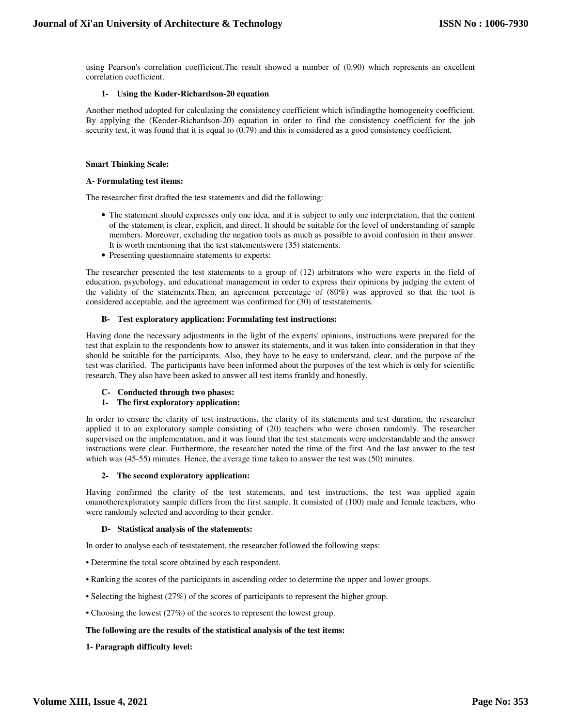using Pearson's correlation coefficient.The result showed a number of (0.90) which represents an excellent correlation coefficient.

## **1- Using the Kuder-Richardson-20 equation**

Another method adopted for calculating the consistency coefficient which isfindingthe homogeneity coefficient. By applying the (Keoder-Richardson-20) equation in order to find the consistency coefficient for the job security test, it was found that it is equal to  $(0.79)$  and this is considered as a good consistency coefficient.

## **Smart Thinking Scale:**

## **A- Formulating test items:**

The researcher first drafted the test statements and did the following:

- The statement should expresses only one idea, and it is subject to only one interpretation, that the content of the statement is clear, explicit, and direct. It should be suitable for the level of understanding of sample members. Moreover, excluding the negation tools as much as possible to avoid confusion in their answer. It is worth mentioning that the test statementswere (35) statements.
- Presenting questionnaire statements to experts:

The researcher presented the test statements to a group of (12) arbitrators who were experts in the field of education, psychology, and educational management in order to express their opinions by judging the extent of the validity of the statements.Then, an agreement percentage of (80%) was approved so that the tool is considered acceptable, and the agreement was confirmed for (30) of teststatements.

## **B- Test exploratory application: Formulating test instructions:**

Having done the necessary adjustments in the light of the experts' opinions, instructions were prepared for the test that explain to the respondents how to answer its statements, and it was taken into consideration in that they should be suitable for the participants. Also, they have to be easy to understand, clear, and the purpose of the test was clarified. The participants have been informed about the purposes of the test which is only for scientific research. They also have been asked to answer all test items frankly and honestly.

## **C- Conducted through two phases:**

## **1- The first exploratory application:**

In order to ensure the clarity of test instructions, the clarity of its statements and test duration, the researcher applied it to an exploratory sample consisting of (20) teachers who were chosen randomly. The researcher supervised on the implementation, and it was found that the test statements were understandable and the answer instructions were clear. Furthermore, the researcher noted the time of the first And the last answer to the test which was (45-55) minutes. Hence, the average time taken to answer the test was (50) minutes.

## **2- The second exploratory application:**

Having confirmed the clarity of the test statements, and test instructions, the test was applied again onanotherexploratory sample differs from the first sample. It consisted of (100) male and female teachers, who were randomly selected and according to their gender.

## **D- Statistical analysis of the statements:**

In order to analyse each of teststatement, the researcher followed the following steps:

- Determine the total score obtained by each respondent.
- Ranking the scores of the participants in ascending order to determine the upper and lower groups.
- Selecting the highest (27%) of the scores of participants to represent the higher group.
- Choosing the lowest (27%) of the scores to represent the lowest group.

## **The following are the results of the statistical analysis of the test items:**

**1- Paragraph difficulty level:**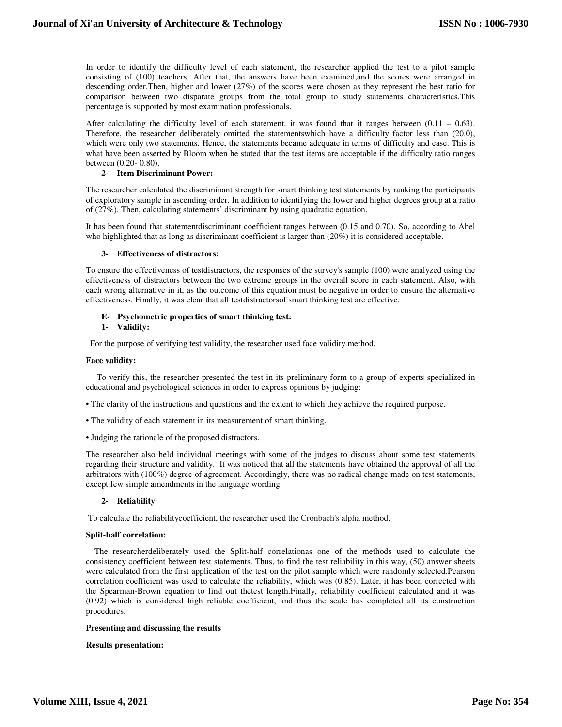In order to identify the difficulty level of each statement, the researcher applied the test to a pilot sample consisting of (100) teachers. After that, the answers have been examined,and the scores were arranged in descending order.Then, higher and lower (27%) of the scores were chosen as they represent the best ratio for comparison between two disparate groups from the total group to study statements characteristics.This percentage is supported by most examination professionals.

After calculating the difficulty level of each statement, it was found that it ranges between  $(0.11 - 0.63)$ . Therefore, the researcher deliberately omitted the statementswhich have a difficulty factor less than (20.0), which were only two statements. Hence, the statements became adequate in terms of difficulty and ease. This is what have been asserted by Bloom when he stated that the test items are acceptable if the difficulty ratio ranges between (0.20- 0.80).

## **2- Item Discriminant Power:**

The researcher calculated the discriminant strength for smart thinking test statements by ranking the participants of exploratory sample in ascending order. In addition to identifying the lower and higher degrees group at a ratio of (27%). Then, calculating statements' discriminant by using quadratic equation.

It has been found that statementdiscriminant coefficient ranges between (0.15 and 0.70). So, according to Abel who highlighted that as long as discriminant coefficient is larger than (20%) it is considered acceptable.

## **3- Effectiveness of distractors:**

To ensure the effectiveness of testdistractors, the responses of the survey's sample (100) were analyzed using the effectiveness of distractors between the two extreme groups in the overall score in each statement. Also, with each wrong alternative in it, as the outcome of this equation must be negative in order to ensure the alternative effectiveness. Finally, it was clear that all testdistractorsof smart thinking test are effective.

## **E- Psychometric properties of smart thinking test:**

## **1- Validity:**

For the purpose of verifying test validity, the researcher used face validity method.

## **Face validity:**

 To verify this, the researcher presented the test in its preliminary form to a group of experts specialized in educational and psychological sciences in order to express opinions by judging:

- The clarity of the instructions and questions and the extent to which they achieve the required purpose.
- The validity of each statement in its measurement of smart thinking.
- Judging the rationale of the proposed distractors.

The researcher also held individual meetings with some of the judges to discuss about some test statements regarding their structure and validity. It was noticed that all the statements have obtained the approval of all the arbitrators with (100%) degree of agreement. Accordingly, there was no radical change made on test statements, except few simple amendments in the language wording.

## **2- Reliability**

To calculate the reliabilitycoefficient, the researcher used the Cronbach's alpha method.

## **Split-half correlation:**

 The researcherdeliberately used the Split-half correlationas one of the methods used to calculate the consistency coefficient between test statements. Thus, to find the test reliability in this way, (50) answer sheets were calculated from the first application of the test on the pilot sample which were randomly selected.Pearson correlation coefficient was used to calculate the reliability, which was (0.85). Later, it has been corrected with the Spearman-Brown equation to find out thetest length.Finally, reliability coefficient calculated and it was (0.92) which is considered high reliable coefficient, and thus the scale has completed all its construction procedures.

## **Presenting and discussing the results**

## **Results presentation:**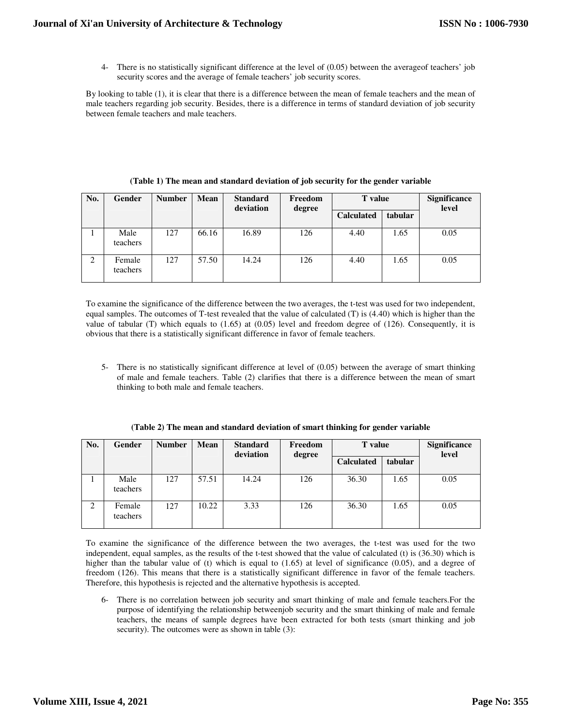4- There is no statistically significant difference at the level of (0.05) between the averageof teachers' job security scores and the average of female teachers' job security scores.

By looking to table (1), it is clear that there is a difference between the mean of female teachers and the mean of male teachers regarding job security. Besides, there is a difference in terms of standard deviation of job security between female teachers and male teachers.

| No. | <b>Gender</b>      | <b>Number</b> | <b>Mean</b> | <b>Standard</b><br>deviation | Freedom<br>degree | <b>T</b> value    |         | <b>Significance</b><br>level |
|-----|--------------------|---------------|-------------|------------------------------|-------------------|-------------------|---------|------------------------------|
|     |                    |               |             |                              |                   | <b>Calculated</b> | tabular |                              |
|     | Male<br>teachers   | 127           | 66.16       | 16.89                        | 126               | 4.40              | 1.65    | 0.05                         |
| 2   | Female<br>teachers | 127           | 57.50       | 14.24                        | 126               | 4.40              | 1.65    | 0.05                         |

**(Table 1) The mean and standard deviation of job security for the gender variable** 

To examine the significance of the difference between the two averages, the t-test was used for two independent, equal samples. The outcomes of T-test revealed that the value of calculated (T) is (4.40) which is higher than the value of tabular (T) which equals to  $(1.65)$  at  $(0.05)$  level and freedom degree of  $(126)$ . Consequently, it is obvious that there is a statistically significant difference in favor of female teachers.

5- There is no statistically significant difference at level of (0.05) between the average of smart thinking of male and female teachers. Table (2) clarifies that there is a difference between the mean of smart thinking to both male and female teachers.

| No. | <b>Gender</b>      | <b>Number</b> | <b>Mean</b> | <b>Standard</b><br>deviation | Freedom<br>degree | <b>T</b> value    |         | Significance<br>level |
|-----|--------------------|---------------|-------------|------------------------------|-------------------|-------------------|---------|-----------------------|
|     |                    |               |             |                              |                   | <b>Calculated</b> | tabular |                       |
|     | Male<br>teachers   | 127           | 57.51       | 14.24                        | 126               | 36.30             | 1.65    | 0.05                  |
| 2   | Female<br>teachers | 127           | 10.22       | 3.33                         | 126               | 36.30             | 1.65    | 0.05                  |

**(Table 2) The mean and standard deviation of smart thinking for gender variable** 

To examine the significance of the difference between the two averages, the t-test was used for the two independent, equal samples, as the results of the t-test showed that the value of calculated (t) is (36.30) which is higher than the tabular value of (t) which is equal to (1.65) at level of significance (0.05), and a degree of freedom (126). This means that there is a statistically significant difference in favor of the female teachers. Therefore, this hypothesis is rejected and the alternative hypothesis is accepted.

6- There is no correlation between job security and smart thinking of male and female teachers.For the purpose of identifying the relationship betweenjob security and the smart thinking of male and female teachers, the means of sample degrees have been extracted for both tests (smart thinking and job security). The outcomes were as shown in table (3):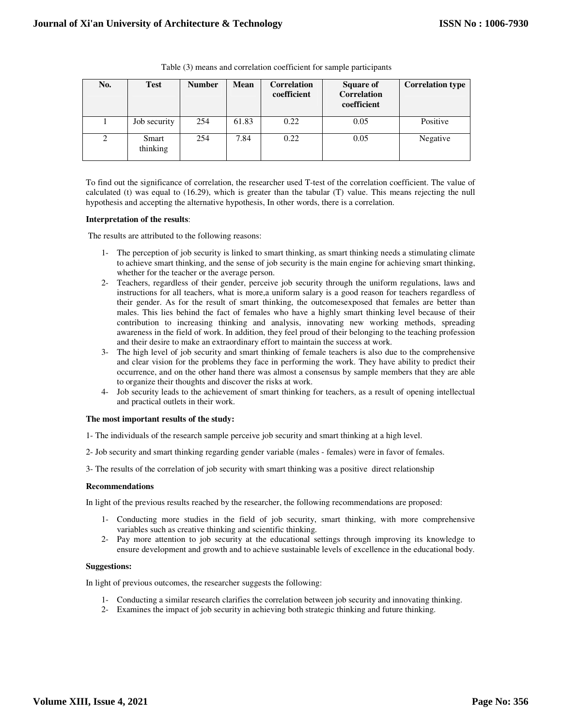| No. | <b>Test</b>       | <b>Number</b> | <b>Mean</b> | <b>Correlation</b><br>coefficient | <b>Square of</b><br><b>Correlation</b><br>coefficient | <b>Correlation type</b> |
|-----|-------------------|---------------|-------------|-----------------------------------|-------------------------------------------------------|-------------------------|
|     | Job security      | 254           | 61.83       | 0.22                              | 0.05                                                  | Positive                |
| 2   | Smart<br>thinking | 254           | 7.84        | 0.22                              | 0.05                                                  | Negative                |

Table (3) means and correlation coefficient for sample participants

To find out the significance of correlation, the researcher used T-test of the correlation coefficient. The value of calculated (t) was equal to (16.29), which is greater than the tabular (T) value. This means rejecting the null hypothesis and accepting the alternative hypothesis, In other words, there is a correlation.

## **Interpretation of the results**:

The results are attributed to the following reasons:

- 1- The perception of job security is linked to smart thinking, as smart thinking needs a stimulating climate to achieve smart thinking, and the sense of job security is the main engine for achieving smart thinking, whether for the teacher or the average person.
- 2- Teachers, regardless of their gender, perceive job security through the uniform regulations, laws and instructions for all teachers, what is more,a uniform salary is a good reason for teachers regardless of their gender. As for the result of smart thinking, the outcomesexposed that females are better than males. This lies behind the fact of females who have a highly smart thinking level because of their contribution to increasing thinking and analysis, innovating new working methods, spreading awareness in the field of work. In addition, they feel proud of their belonging to the teaching profession and their desire to make an extraordinary effort to maintain the success at work.
- 3- The high level of job security and smart thinking of female teachers is also due to the comprehensive and clear vision for the problems they face in performing the work. They have ability to predict their occurrence, and on the other hand there was almost a consensus by sample members that they are able to organize their thoughts and discover the risks at work.
- 4- Job security leads to the achievement of smart thinking for teachers, as a result of opening intellectual and practical outlets in their work.

## **The most important results of the study:**

1- The individuals of the research sample perceive job security and smart thinking at a high level.

- 2- Job security and smart thinking regarding gender variable (males females) were in favor of females.
- 3- The results of the correlation of job security with smart thinking was a positive direct relationship

## **Recommendations**

In light of the previous results reached by the researcher, the following recommendations are proposed:

- 1- Conducting more studies in the field of job security, smart thinking, with more comprehensive variables such as creative thinking and scientific thinking.
- 2- Pay more attention to job security at the educational settings through improving its knowledge to ensure development and growth and to achieve sustainable levels of excellence in the educational body.

## **Suggestions:**

In light of previous outcomes, the researcher suggests the following:

- 1- Conducting a similar research clarifies the correlation between job security and innovating thinking.
- 2- Examines the impact of job security in achieving both strategic thinking and future thinking.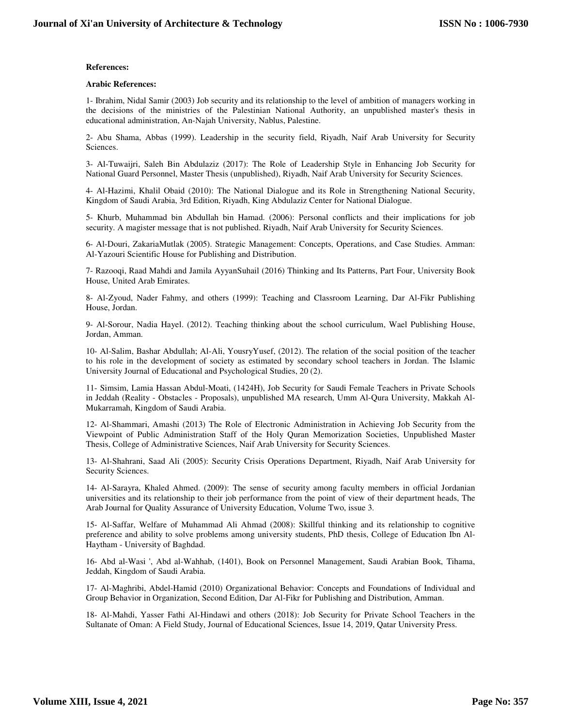## **References:**

## **Arabic References:**

1- Ibrahim, Nidal Samir (2003) Job security and its relationship to the level of ambition of managers working in the decisions of the ministries of the Palestinian National Authority, an unpublished master's thesis in educational administration, An-Najah University, Nablus, Palestine.

2- Abu Shama, Abbas (1999). Leadership in the security field, Riyadh, Naif Arab University for Security Sciences.

3- Al-Tuwaijri, Saleh Bin Abdulaziz (2017): The Role of Leadership Style in Enhancing Job Security for National Guard Personnel, Master Thesis (unpublished), Riyadh, Naif Arab University for Security Sciences.

4- Al-Hazimi, Khalil Obaid (2010): The National Dialogue and its Role in Strengthening National Security, Kingdom of Saudi Arabia, 3rd Edition, Riyadh, King Abdulaziz Center for National Dialogue.

5- Khurb, Muhammad bin Abdullah bin Hamad. (2006): Personal conflicts and their implications for job security. A magister message that is not published. Riyadh, Naif Arab University for Security Sciences.

6- Al-Douri, ZakariaMutlak (2005). Strategic Management: Concepts, Operations, and Case Studies. Amman: Al-Yazouri Scientific House for Publishing and Distribution.

7- Razooqi, Raad Mahdi and Jamila AyyanSuhail (2016) Thinking and Its Patterns, Part Four, University Book House, United Arab Emirates.

8- Al-Zyoud, Nader Fahmy, and others (1999): Teaching and Classroom Learning, Dar Al-Fikr Publishing House, Jordan.

9- Al-Sorour, Nadia Hayel. (2012). Teaching thinking about the school curriculum, Wael Publishing House, Jordan, Amman.

10- Al-Salim, Bashar Abdullah; Al-Ali, YousryYusef, (2012). The relation of the social position of the teacher to his role in the development of society as estimated by secondary school teachers in Jordan. The Islamic University Journal of Educational and Psychological Studies, 20 (2).

11- Simsim, Lamia Hassan Abdul-Moati, (1424H), Job Security for Saudi Female Teachers in Private Schools in Jeddah (Reality - Obstacles - Proposals), unpublished MA research, Umm Al-Qura University, Makkah Al-Mukarramah, Kingdom of Saudi Arabia.

12- Al-Shammari, Amashi (2013) The Role of Electronic Administration in Achieving Job Security from the Viewpoint of Public Administration Staff of the Holy Quran Memorization Societies, Unpublished Master Thesis, College of Administrative Sciences, Naif Arab University for Security Sciences.

13- Al-Shahrani, Saad Ali (2005): Security Crisis Operations Department, Riyadh, Naif Arab University for Security Sciences.

14- Al-Sarayra, Khaled Ahmed. (2009): The sense of security among faculty members in official Jordanian universities and its relationship to their job performance from the point of view of their department heads, The Arab Journal for Quality Assurance of University Education, Volume Two, issue 3.

15- Al-Saffar, Welfare of Muhammad Ali Ahmad (2008): Skillful thinking and its relationship to cognitive preference and ability to solve problems among university students, PhD thesis, College of Education Ibn Al-Haytham - University of Baghdad.

16- Abd al-Wasi ', Abd al-Wahhab, (1401), Book on Personnel Management, Saudi Arabian Book, Tihama, Jeddah, Kingdom of Saudi Arabia.

17- Al-Maghribi, Abdel-Hamid (2010) Organizational Behavior: Concepts and Foundations of Individual and Group Behavior in Organization, Second Edition, Dar Al-Fikr for Publishing and Distribution, Amman.

18- Al-Mahdi, Yasser Fathi Al-Hindawi and others (2018): Job Security for Private School Teachers in the Sultanate of Oman: A Field Study, Journal of Educational Sciences, Issue 14, 2019, Qatar University Press.